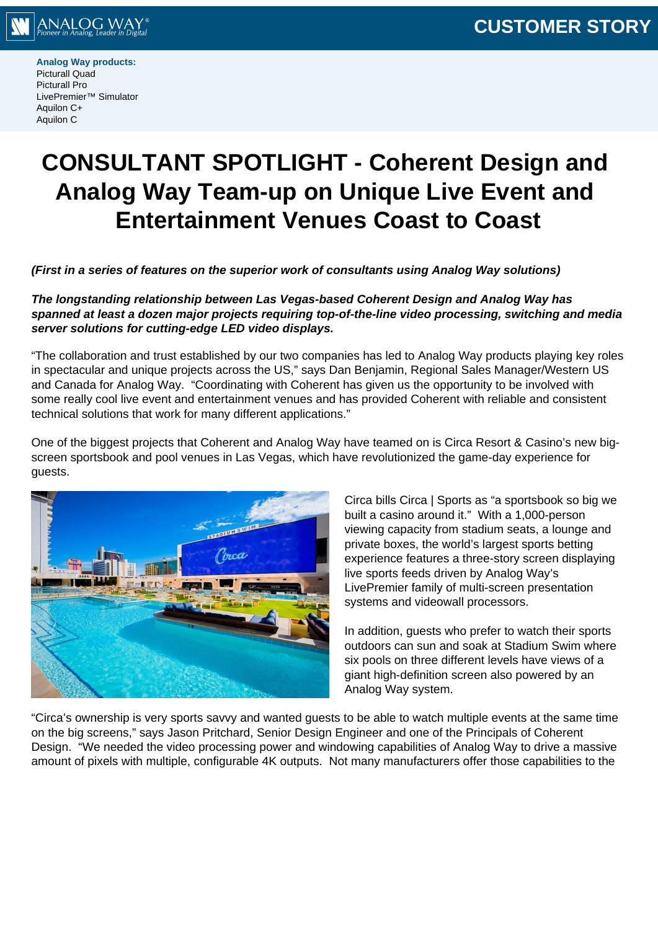

**Analog Way products:** Picturall Quad Picturall Pro LivePremier™ Simulator Aquilon C+ Aquilon C

# **CONSULTANT SPOTLIGHT - Coherent Design and Analog Way Team-up on Unique Live Event and Entertainment Venues Coast to Coast**

**(First in a series of features on the superior work of consultants using Analog Way solutions)**

**The longstanding relationship between Las Vegas-based Coherent Design and Analog Way has spanned at least a dozen major projects requiring top-of-the-line video processing, switching and media server solutions for cutting-edge LED video displays.**

"The collaboration and trust established by our two companies has led to Analog Way products playing key roles in spectacular and unique projects across the US," says Dan Benjamin, Regional Sales Manager/Western US and Canada for Analog Way. "Coordinating with Coherent has given us the opportunity to be involved with some really cool live event and entertainment venues and has provided Coherent with reliable and consistent technical solutions that work for many different applications."

One of the biggest projects that Coherent and Analog Way have teamed on is Circa Resort & Casino's new bigscreen sportsbook and pool venues in Las Vegas, which have revolutionized the game-day experience for guests.



Circa bills Circa | Sports as "a sportsbook so big we built a casino around it." With a 1,000-person viewing capacity from stadium seats, a lounge and private boxes, the world's largest sports betting experience features a three-story screen displaying live sports feeds driven by Analog Way's LivePremier family of multi-screen presentation systems and videowall processors.

In addition, guests who prefer to watch their sports outdoors can sun and soak at Stadium Swim where six pools on three different levels have views of a giant high-definition screen also powered by an Analog Way system.

"Circa's ownership is very sports savvy and wanted guests to be able to watch multiple events at the same time on the big screens," says Jason Pritchard, Senior Design Engineer and one of the Principals of Coherent Design. "We needed the video processing power and windowing capabilities of Analog Way to drive a massive amount of pixels with multiple, configurable 4K outputs. Not many manufacturers offer those capabilities to the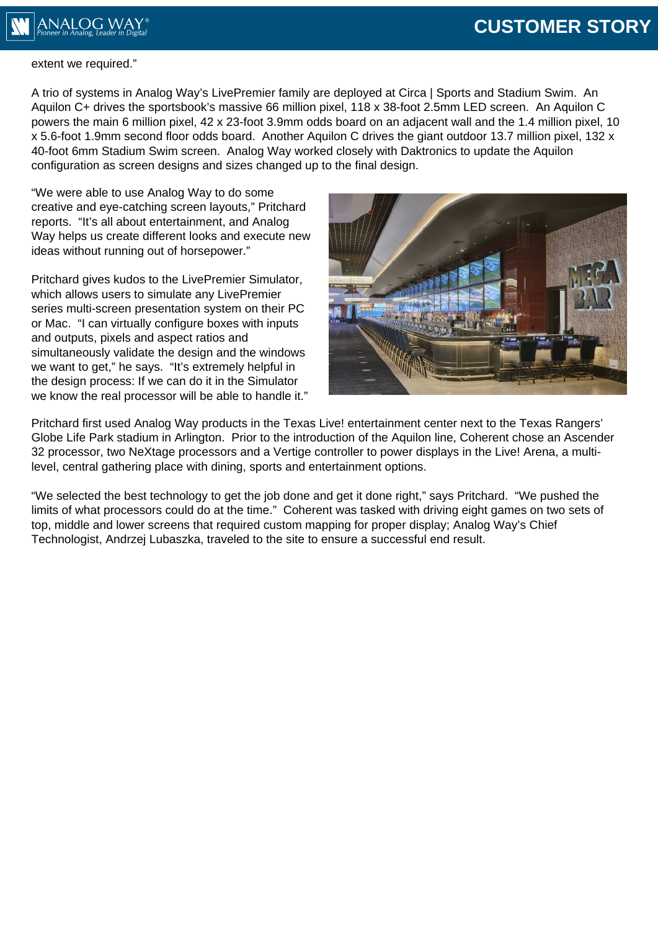## **CUSTOMER STORY**



## extent we required."

A trio of systems in Analog Way's LivePremier family are deployed at Circa | Sports and Stadium Swim. An Aquilon C+ drives the sportsbook's massive 66 million pixel, 118 x 38-foot 2.5mm LED screen. An Aquilon C powers the main 6 million pixel, 42 x 23-foot 3.9mm odds board on an adjacent wall and the 1.4 million pixel, 10 x 5.6-foot 1.9mm second floor odds board. Another Aquilon C drives the giant outdoor 13.7 million pixel, 132 x 40-foot 6mm Stadium Swim screen. Analog Way worked closely with Daktronics to update the Aquilon configuration as screen designs and sizes changed up to the final design.

"We were able to use Analog Way to do some creative and eye-catching screen layouts," Pritchard reports. "It's all about entertainment, and Analog Way helps us create different looks and execute new ideas without running out of horsepower."

Pritchard gives kudos to the LivePremier Simulator, which allows users to simulate any LivePremier series multi-screen presentation system on their PC or Mac. "I can virtually configure boxes with inputs and outputs, pixels and aspect ratios and simultaneously validate the design and the windows we want to get," he says. "It's extremely helpful in the design process: If we can do it in the Simulator we know the real processor will be able to handle it."



Pritchard first used Analog Way products in the Texas Live! entertainment center next to the Texas Rangers' Globe Life Park stadium in Arlington. Prior to the introduction of the Aquilon line, Coherent chose an Ascender 32 processor, two NeXtage processors and a Vertige controller to power displays in the Live! Arena, a multilevel, central gathering place with dining, sports and entertainment options.

"We selected the best technology to get the job done and get it done right," says Pritchard. "We pushed the limits of what processors could do at the time." Coherent was tasked with driving eight games on two sets of top, middle and lower screens that required custom mapping for proper display; Analog Way's Chief Technologist, Andrzej Lubaszka, traveled to the site to ensure a successful end result.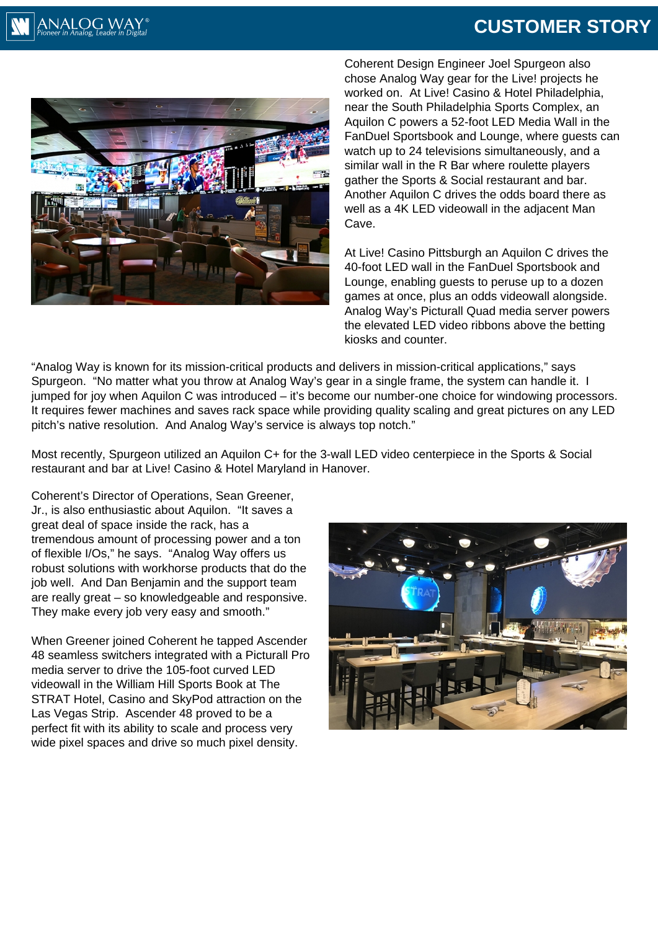## **CUSTOMER STORY**



Coherent Design Engineer Joel Spurgeon also chose Analog Way gear for the Live! projects he worked on. At Live! Casino & Hotel Philadelphia, near the South Philadelphia Sports Complex, an Aquilon C powers a 52-foot LED Media Wall in the FanDuel Sportsbook and Lounge, where guests can watch up to 24 televisions simultaneously, and a similar wall in the R Bar where roulette players gather the Sports & Social restaurant and bar. Another Aquilon C drives the odds board there as well as a 4K LED videowall in the adjacent Man Cave.

At Live! Casino Pittsburgh an Aquilon C drives the 40-foot LED wall in the FanDuel Sportsbook and Lounge, enabling guests to peruse up to a dozen games at once, plus an odds videowall alongside. Analog Way's Picturall Quad media server powers the elevated LED video ribbons above the betting kiosks and counter.

"Analog Way is known for its mission-critical products and delivers in mission-critical applications," says Spurgeon. "No matter what you throw at Analog Way's gear in a single frame, the system can handle it. I jumped for joy when Aquilon C was introduced – it's become our number-one choice for windowing processors. It requires fewer machines and saves rack space while providing quality scaling and great pictures on any LED pitch's native resolution. And Analog Way's service is always top notch."

Most recently, Spurgeon utilized an Aquilon C+ for the 3-wall LED video centerpiece in the Sports & Social restaurant and bar at Live! Casino & Hotel Maryland in Hanover.

Coherent's Director of Operations, Sean Greener, Jr., is also enthusiastic about Aquilon. "It saves a great deal of space inside the rack, has a tremendous amount of processing power and a ton of flexible I/Os," he says. "Analog Way offers us robust solutions with workhorse products that do the job well. And Dan Benjamin and the support team are really great – so knowledgeable and responsive. They make every job very easy and smooth."

When Greener joined Coherent he tapped Ascender 48 seamless switchers integrated with a Picturall Pro media server to drive the 105-foot curved LED videowall in the William Hill Sports Book at The STRAT Hotel, Casino and SkyPod attraction on the Las Vegas Strip. Ascender 48 proved to be a perfect fit with its ability to scale and process very wide pixel spaces and drive so much pixel density.